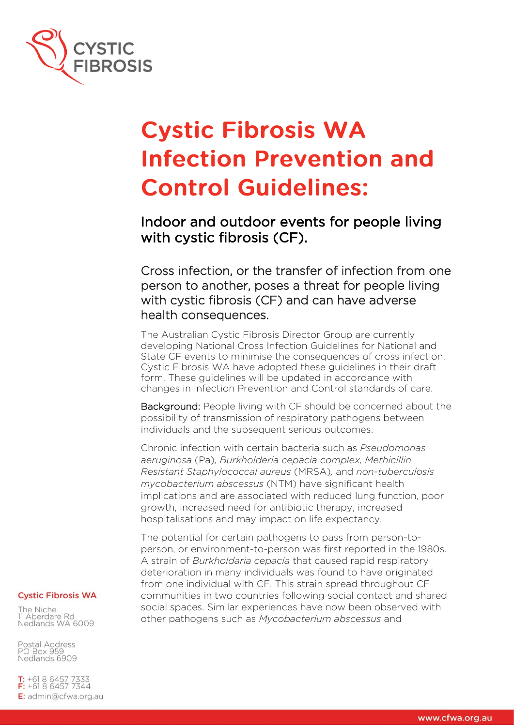

# **Cystic Fibrosis WA Infection Prevention and Control Guidelines:**

Indoor and outdoor events for people living with cystic fibrosis (CF).

Cross infection, or the transfer of infection from one person to another, poses a threat for people living with cystic fibrosis (CF) and can have adverse health consequences.

The Australian Cystic Fibrosis Director Group are currently developing National Cross Infection Guidelines for National and State CF events to minimise the consequences of cross infection. Cystic Fibrosis WA have adopted these guidelines in their draft form. These guidelines will be updated in accordance with changes in Infection Prevention and Control standards of care.

Background: People living with CF should be concerned about the possibility of transmission of respiratory pathogens between individuals and the subsequent serious outcomes.

Chronic infection with certain bacteria such as *Pseudomonas aeruginosa* (Pa)*, Burkholderia cepacia complex, Methicillin Resistant Staphylococcal aureus* (MRSA)*,* and *non-tuberculosis mycobacterium abscessus* (NTM) have significant health implications and are associated with reduced lung function, poor growth, increased need for antibiotic therapy, increased hospitalisations and may impact on life expectancy.

The potential for certain pathogens to pass from person-toperson, or environment-to-person was first reported in the 1980s. A strain of *Burkholdaria cepacia* that caused rapid respiratory deterioration in many individuals was found to have originated from one individual with CF. This strain spread throughout CF communities in two countries following social contact and shared social spaces. Similar experiences have now been observed with other pathogens such as *Mycobacterium abscessus* and

#### **Cystic Fibrosis WA**

The Niche 11 Aberdare Rd Nedlands WA 6009

Postal Address PO Box 959 Nedlands 6909

**T:**  $+61864577333$ <br>**F:**  $+61864577344$ E: admin@cfwa.org.au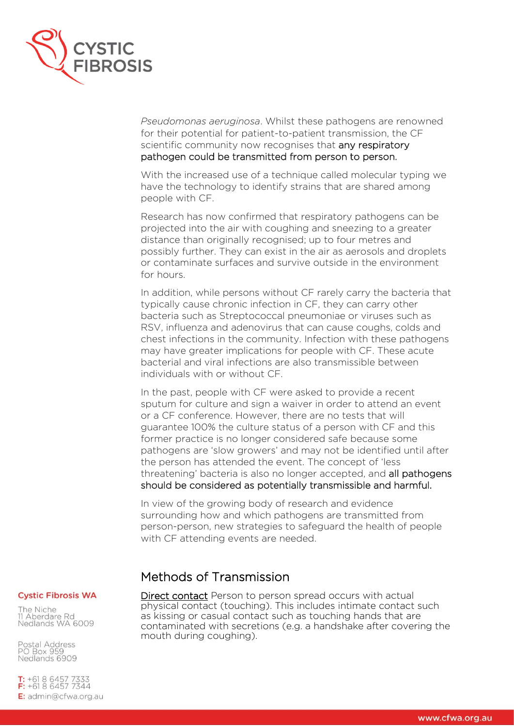

*Pseudomonas aeruginosa*. Whilst these pathogens are renowned for their potential for patient-to-patient transmission, the CF scientific community now recognises that any respiratory pathogen could be transmitted from person to person.

With the increased use of a technique called molecular typing we have the technology to identify strains that are shared among people with CF.

Research has now confirmed that respiratory pathogens can be projected into the air with coughing and sneezing to a greater distance than originally recognised; up to four metres and possibly further. They can exist in the air as aerosols and droplets or contaminate surfaces and survive outside in the environment for hours.

In addition, while persons without CF rarely carry the bacteria that typically cause chronic infection in CF, they can carry other bacteria such as Streptococcal pneumoniae or viruses such as RSV, influenza and adenovirus that can cause coughs, colds and chest infections in the community. Infection with these pathogens may have greater implications for people with CF. These acute bacterial and viral infections are also transmissible between individuals with or without CF.

In the past, people with CF were asked to provide a recent sputum for culture and sign a waiver in order to attend an event or a CF conference. However, there are no tests that will guarantee 100% the culture status of a person with CF and this former practice is no longer considered safe because some pathogens are 'slow growers' and may not be identified until after the person has attended the event. The concept of 'less threatening' bacteria is also no longer accepted, and all pathogens should be considered as potentially transmissible and harmful.

In view of the growing body of research and evidence surrounding how and which pathogens are transmitted from person-person, new strategies to safeguard the health of people with CF attending events are needed.

# Methods of Transmission

## **Cystic Fibrosis WA**

The Niche 11 Aberdare Rd Nedlands WA 6009

Postal Address **PO Box 959** Nedlands 6909

**T:**  $+61864577333$ <br>**F:**  $+61864577344$ E: admin@cfwa.org.au Direct contact Person to person spread occurs with actual physical contact (touching). This includes intimate contact such as kissing or casual contact such as touching hands that are contaminated with secretions (e.g. a handshake after covering the mouth during coughing).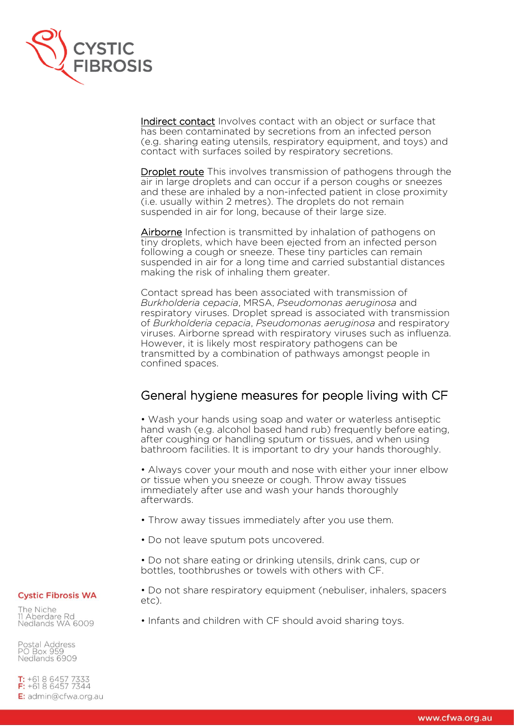

Indirect contact Involves contact with an object or surface that has been contaminated by secretions from an infected person (e.g. sharing eating utensils, respiratory equipment, and toys) and contact with surfaces soiled by respiratory secretions.

Droplet route This involves transmission of pathogens through the air in large droplets and can occur if a person coughs or sneezes and these are inhaled by a non-infected patient in close proximity (i.e. usually within 2 metres). The droplets do not remain suspended in air for long, because of their large size.

Airborne Infection is transmitted by inhalation of pathogens on tiny droplets, which have been ejected from an infected person following a cough or sneeze. These tiny particles can remain suspended in air for a long time and carried substantial distances making the risk of inhaling them greater.

Contact spread has been associated with transmission of *Burkholderia cepacia*, MRSA, *Pseudomonas aeruginosa* and respiratory viruses. Droplet spread is associated with transmission of *Burkholderia cepacia*, *Pseudomonas aeruginosa* and respiratory viruses. Airborne spread with respiratory viruses such as influenza. However, it is likely most respiratory pathogens can be transmitted by a combination of pathways amongst people in confined spaces.

# General hygiene measures for people living with CF

• Wash your hands using soap and water or waterless antiseptic hand wash (e.g. alcohol based hand rub) frequently before eating, after coughing or handling sputum or tissues, and when using bathroom facilities. It is important to dry your hands thoroughly.

• Always cover your mouth and nose with either your inner elbow or tissue when you sneeze or cough. Throw away tissues immediately after use and wash your hands thoroughly afterwards.

- Throw away tissues immediately after you use them.
- Do not leave sputum pots uncovered.

• Do not share eating or drinking utensils, drink cans, cup or bottles, toothbrushes or towels with others with CF.

• Do not share respiratory equipment (nebuliser, inhalers, spacers

**Cystic Fibrosis WA** 

etc).

The Niche 11 Aberdare Rd Nedlands WA 6009

Postal Address **PO Box 959** Nedlands 6909

**T:**  $+61864577333$ <br>**F:**  $+61864577344$ E: admin@cfwa.org.au • Infants and children with CF should avoid sharing toys.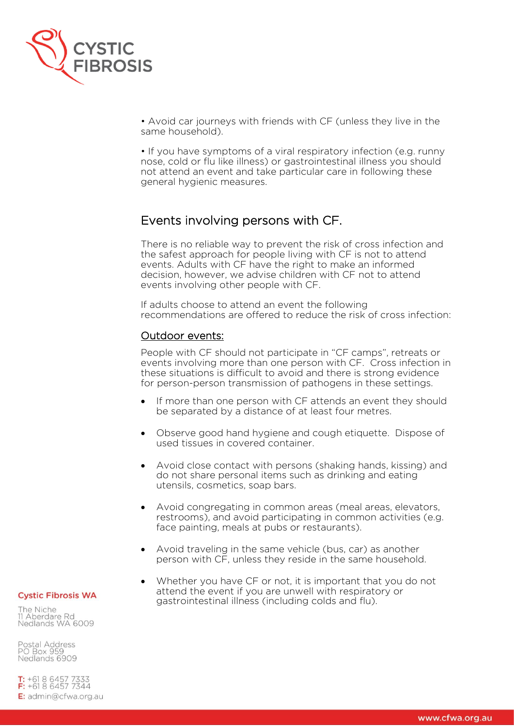

• Avoid car journeys with friends with CF (unless they live in the same household).

• If you have symptoms of a viral respiratory infection (e.g. runny nose, cold or flu like illness) or gastrointestinal illness you should not attend an event and take particular care in following these general hygienic measures.

# Events involving persons with CF.

There is no reliable way to prevent the risk of cross infection and the safest approach for people living with CF is not to attend events. Adults with CF have the right to make an informed decision, however, we advise children with CF not to attend events involving other people with CF.

If adults choose to attend an event the following recommendations are offered to reduce the risk of cross infection:

# Outdoor events:

People with CF should not participate in "CF camps", retreats or events involving more than one person with CF. Cross infection in these situations is difficult to avoid and there is strong evidence for person-person transmission of pathogens in these settings.

- If more than one person with CF attends an event they should be separated by a distance of at least four metres.
- Observe good hand hygiene and cough etiquette. Dispose of used tissues in covered container.
- Avoid close contact with persons (shaking hands, kissing) and do not share personal items such as drinking and eating utensils, cosmetics, soap bars.
- Avoid congregating in common areas (meal areas, elevators, restrooms), and avoid participating in common activities (e.g. face painting, meals at pubs or restaurants).
- Avoid traveling in the same vehicle (bus, car) as another person with CF, unless they reside in the same household.
- Whether you have CF or not, it is important that you do not attend the event if you are unwell with respiratory or gastrointestinal illness (including colds and flu).

#### **Cystic Fibrosis WA**

The Niche 11 Aberdare Rd Nedlands WA 6009

Postal Address **PO Box 959** Nedlands 6909

**T:**  $+61864577333$ <br>**F:**  $+61864577344$ E: admin@cfwa.org.au